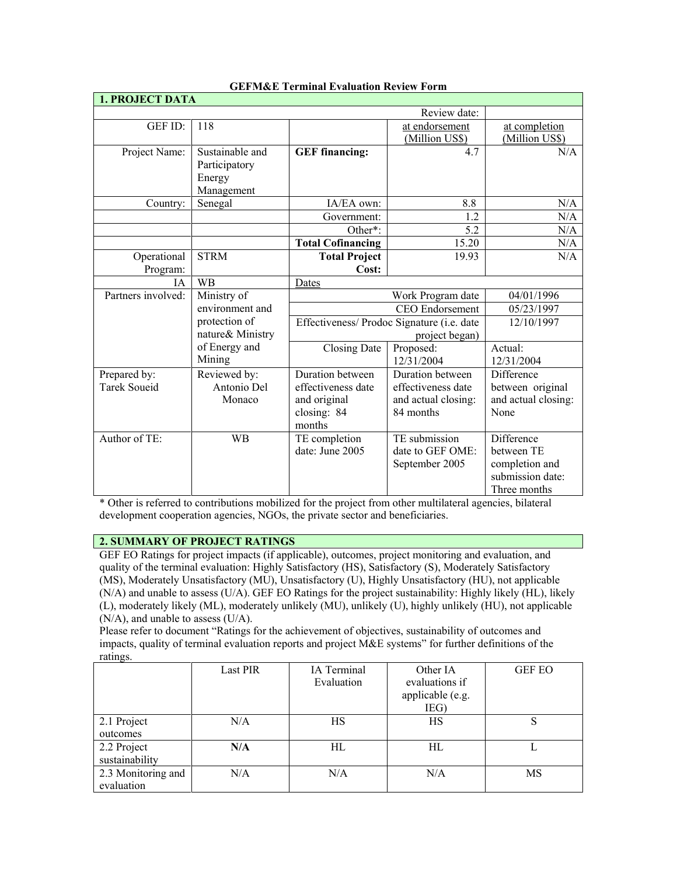| <b>1. PROJECT DATA</b>              |                                                          |                                                                                 |                                                                            |                                                                                |
|-------------------------------------|----------------------------------------------------------|---------------------------------------------------------------------------------|----------------------------------------------------------------------------|--------------------------------------------------------------------------------|
|                                     |                                                          | Review date:                                                                    |                                                                            |                                                                                |
| GEF ID:                             | 118                                                      |                                                                                 | at endorsement<br>(Million US\$)                                           | at completion<br>(Million US\$)                                                |
| Project Name:                       | Sustainable and<br>Participatory<br>Energy<br>Management | <b>GEF</b> financing:                                                           | 4.7                                                                        | N/A                                                                            |
| Country:                            | Senegal                                                  | IA/EA own:                                                                      | 8.8                                                                        | N/A                                                                            |
|                                     |                                                          | Government:                                                                     | 1.2                                                                        | N/A                                                                            |
|                                     |                                                          | Other*:                                                                         | 5.2                                                                        | N/A                                                                            |
|                                     |                                                          | <b>Total Cofinancing</b>                                                        | 15.20                                                                      | N/A                                                                            |
| Operational                         | <b>STRM</b>                                              | <b>Total Project</b>                                                            | 19.93                                                                      | N/A                                                                            |
| Program:                            |                                                          | Cost:                                                                           |                                                                            |                                                                                |
| <b>IA</b>                           | <b>WB</b>                                                | Dates                                                                           | Work Program date                                                          |                                                                                |
| Partners involved:                  | Ministry of                                              |                                                                                 | 04/01/1996                                                                 |                                                                                |
|                                     | environment and                                          | <b>CEO</b> Endorsement                                                          |                                                                            | 05/23/1997                                                                     |
|                                     | protection of<br>nature& Ministry                        | Effectiveness/ Prodoc Signature (i.e. date<br>project began)                    |                                                                            | 12/10/1997                                                                     |
|                                     | of Energy and<br>Mining                                  | Closing Date                                                                    | Proposed:<br>12/31/2004                                                    | Actual:<br>12/31/2004                                                          |
| Prepared by:<br><b>Tarek Soueid</b> | Reviewed by:<br>Antonio Del<br>Monaco                    | Duration between<br>effectiveness date<br>and original<br>closing: 84<br>months | Duration between<br>effectiveness date<br>and actual closing:<br>84 months | Difference<br>between original<br>and actual closing:<br>None                  |
| Author of TE:                       | <b>WB</b>                                                | TE completion<br>date: June 2005                                                | TE submission<br>date to GEF OME:<br>September 2005                        | Difference<br>between TE<br>completion and<br>submission date:<br>Three months |

### **GEFM&E Terminal Evaluation Review Form**

\* Other is referred to contributions mobilized for the project from other multilateral agencies, bilateral development cooperation agencies, NGOs, the private sector and beneficiaries.

#### **2. SUMMARY OF PROJECT RATINGS**

GEF EO Ratings for project impacts (if applicable), outcomes, project monitoring and evaluation, and quality of the terminal evaluation: Highly Satisfactory (HS), Satisfactory (S), Moderately Satisfactory (MS), Moderately Unsatisfactory (MU), Unsatisfactory (U), Highly Unsatisfactory (HU), not applicable (N/A) and unable to assess (U/A). GEF EO Ratings for the project sustainability: Highly likely (HL), likely (L), moderately likely (ML), moderately unlikely (MU), unlikely (U), highly unlikely (HU), not applicable (N/A), and unable to assess (U/A).

Please refer to document "Ratings for the achievement of objectives, sustainability of outcomes and impacts, quality of terminal evaluation reports and project M&E systems" for further definitions of the ratings.

|                                  | <b>Last PIR</b> | IA Terminal<br>Evaluation | Other IA<br>evaluations if<br>applicable (e.g.<br>IEG) | <b>GEF EO</b> |
|----------------------------------|-----------------|---------------------------|--------------------------------------------------------|---------------|
| 2.1 Project<br>outcomes          | N/A             | HS                        | HS                                                     |               |
| 2.2 Project<br>sustainability    | N/A             | HL                        | HL                                                     |               |
| 2.3 Monitoring and<br>evaluation | N/A             | N/A                       | N/A                                                    | MS            |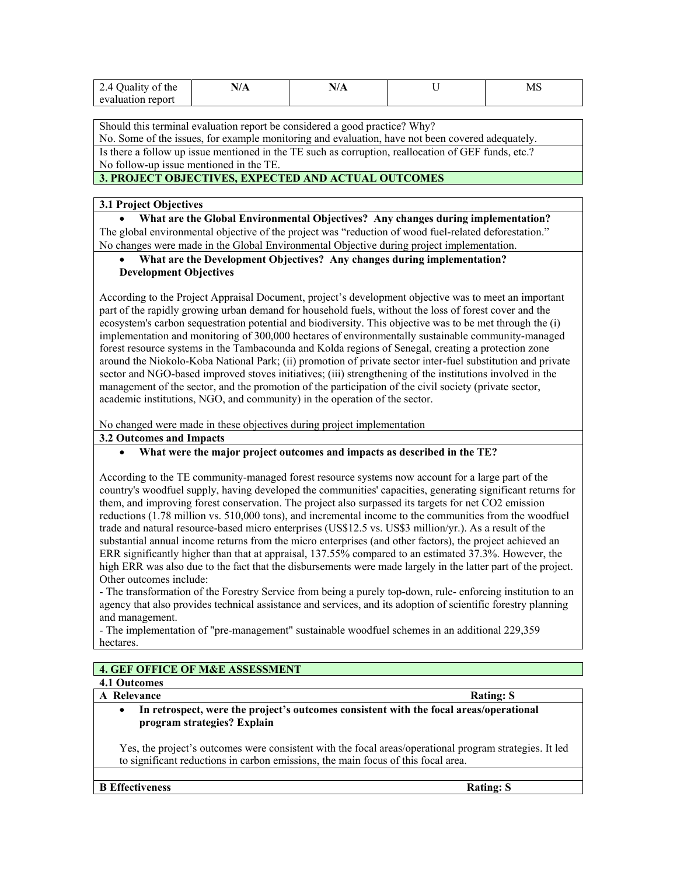| 40<br>Quality of the<br>$\overline{\phantom{a}}$ | $\mathbf{V}$ |  | <b>MS</b> |
|--------------------------------------------------|--------------|--|-----------|
| uluation report<br>AY2                           |              |  |           |

Should this terminal evaluation report be considered a good practice? Why? No. Some of the issues, for example monitoring and evaluation, have not been covered adequately. Is there a follow up issue mentioned in the TE such as corruption, reallocation of GEF funds, etc.? No follow-up issue mentioned in the TE.

# **3. PROJECT OBJECTIVES, EXPECTED AND ACTUAL OUTCOMES**

### **3.1 Project Objectives**

• **What are the Global Environmental Objectives? Any changes during implementation?** The global environmental objective of the project was "reduction of wood fuel-related deforestation." No changes were made in the Global Environmental Objective during project implementation.

### • **What are the Development Objectives? Any changes during implementation? Development Objectives**

According to the Project Appraisal Document, project's development objective was to meet an important part of the rapidly growing urban demand for household fuels, without the loss of forest cover and the ecosystem's carbon sequestration potential and biodiversity. This objective was to be met through the (i) implementation and monitoring of 300,000 hectares of environmentally sustainable community-managed forest resource systems in the Tambacounda and Kolda regions of Senegal, creating a protection zone around the Niokolo-Koba National Park; (ii) promotion of private sector inter-fuel substitution and private sector and NGO-based improved stoves initiatives; (iii) strengthening of the institutions involved in the management of the sector, and the promotion of the participation of the civil society (private sector, academic institutions, NGO, and community) in the operation of the sector.

No changed were made in these objectives during project implementation

### **3.2 Outcomes and Impacts**

## • **What were the major project outcomes and impacts as described in the TE?**

According to the TE community-managed forest resource systems now account for a large part of the country's woodfuel supply, having developed the communities' capacities, generating significant returns for them, and improving forest conservation. The project also surpassed its targets for net CO2 emission reductions (1.78 million vs. 510,000 tons), and incremental income to the communities from the woodfuel trade and natural resource-based micro enterprises (US\$12.5 vs. US\$3 million/yr.). As a result of the substantial annual income returns from the micro enterprises (and other factors), the project achieved an ERR significantly higher than that at appraisal, 137.55% compared to an estimated 37.3%. However, the high ERR was also due to the fact that the disbursements were made largely in the latter part of the project. Other outcomes include:

- The transformation of the Forestry Service from being a purely top-down, rule- enforcing institution to an agency that also provides technical assistance and services, and its adoption of scientific forestry planning and management.

- The implementation of "pre-management" sustainable woodfuel schemes in an additional 229,359 hectares.

# **4. GEF OFFICE OF M&E ASSESSMENT**

# **4.1 Outcomes**

#### **A** Relevance Rating: S

• **In retrospect, were the project's outcomes consistent with the focal areas/operational program strategies? Explain**

Yes, the project's outcomes were consistent with the focal areas/operational program strategies. It led to significant reductions in carbon emissions, the main focus of this focal area.

**B** Effectiveness Rating: S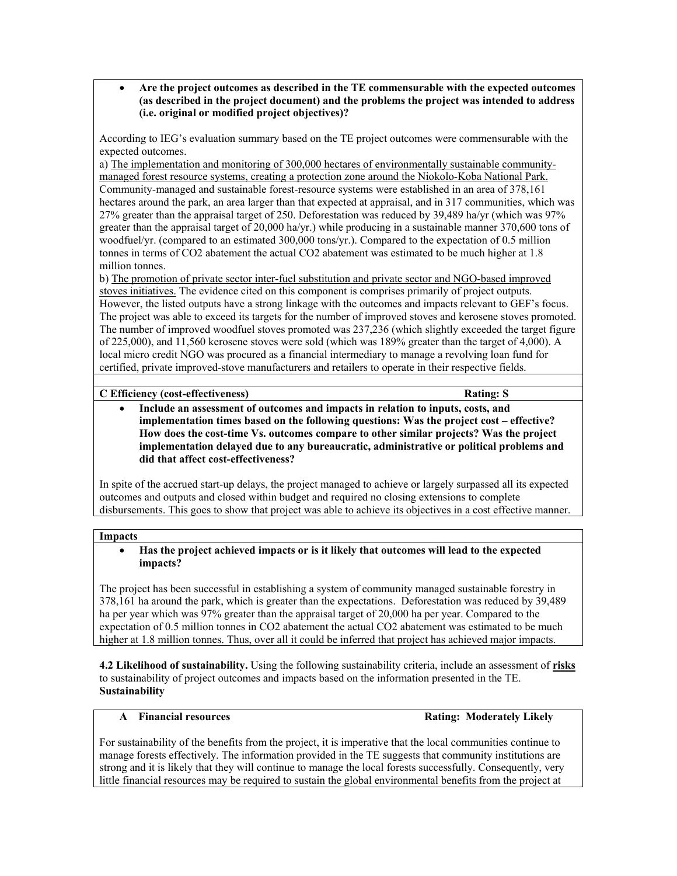• **Are the project outcomes as described in the TE commensurable with the expected outcomes (as described in the project document) and the problems the project was intended to address (i.e. original or modified project objectives)?** 

According to IEG's evaluation summary based on the TE project outcomes were commensurable with the expected outcomes.

a) The implementation and monitoring of 300,000 hectares of environmentally sustainable communitymanaged forest resource systems, creating a protection zone around the Niokolo-Koba National Park. Community-managed and sustainable forest-resource systems were established in an area of 378,161 hectares around the park, an area larger than that expected at appraisal, and in 317 communities, which was 27% greater than the appraisal target of 250. Deforestation was reduced by 39,489 ha/yr (which was 97% greater than the appraisal target of 20,000 ha/yr.) while producing in a sustainable manner 370,600 tons of woodfuel/yr. (compared to an estimated 300,000 tons/yr.). Compared to the expectation of 0.5 million tonnes in terms of CO2 abatement the actual CO2 abatement was estimated to be much higher at 1.8 million tonnes.

b) The promotion of private sector inter-fuel substitution and private sector and NGO-based improved stoves initiatives. The evidence cited on this component is comprises primarily of project outputs. However, the listed outputs have a strong linkage with the outcomes and impacts relevant to GEF's focus. The project was able to exceed its targets for the number of improved stoves and kerosene stoves promoted. The number of improved woodfuel stoves promoted was 237,236 (which slightly exceeded the target figure of 225,000), and 11,560 kerosene stoves were sold (which was 189% greater than the target of 4,000). A local micro credit NGO was procured as a financial intermediary to manage a revolving loan fund for certified, private improved-stove manufacturers and retailers to operate in their respective fields.

#### **C Efficiency (cost-effectiveness) Rating: S**

• **Include an assessment of outcomes and impacts in relation to inputs, costs, and implementation times based on the following questions: Was the project cost – effective? How does the cost-time Vs. outcomes compare to other similar projects? Was the project implementation delayed due to any bureaucratic, administrative or political problems and did that affect cost-effectiveness?**

In spite of the accrued start-up delays, the project managed to achieve or largely surpassed all its expected outcomes and outputs and closed within budget and required no closing extensions to complete disbursements. This goes to show that project was able to achieve its objectives in a cost effective manner.

#### **Impacts**

#### • **Has the project achieved impacts or is it likely that outcomes will lead to the expected impacts?**

The project has been successful in establishing a system of community managed sustainable forestry in 378,161 ha around the park, which is greater than the expectations. Deforestation was reduced by 39,489 ha per year which was 97% greater than the appraisal target of 20,000 ha per year. Compared to the expectation of 0.5 million tonnes in CO2 abatement the actual CO2 abatement was estimated to be much higher at 1.8 million tonnes. Thus, over all it could be inferred that project has achieved major impacts.

**4.2 Likelihood of sustainability.** Using the following sustainability criteria, include an assessment of **risks** to sustainability of project outcomes and impacts based on the information presented in the TE. **Sustainability**

### A Financial resources **Rating: Moderately Likely**

For sustainability of the benefits from the project, it is imperative that the local communities continue to manage forests effectively. The information provided in the TE suggests that community institutions are strong and it is likely that they will continue to manage the local forests successfully. Consequently, very little financial resources may be required to sustain the global environmental benefits from the project at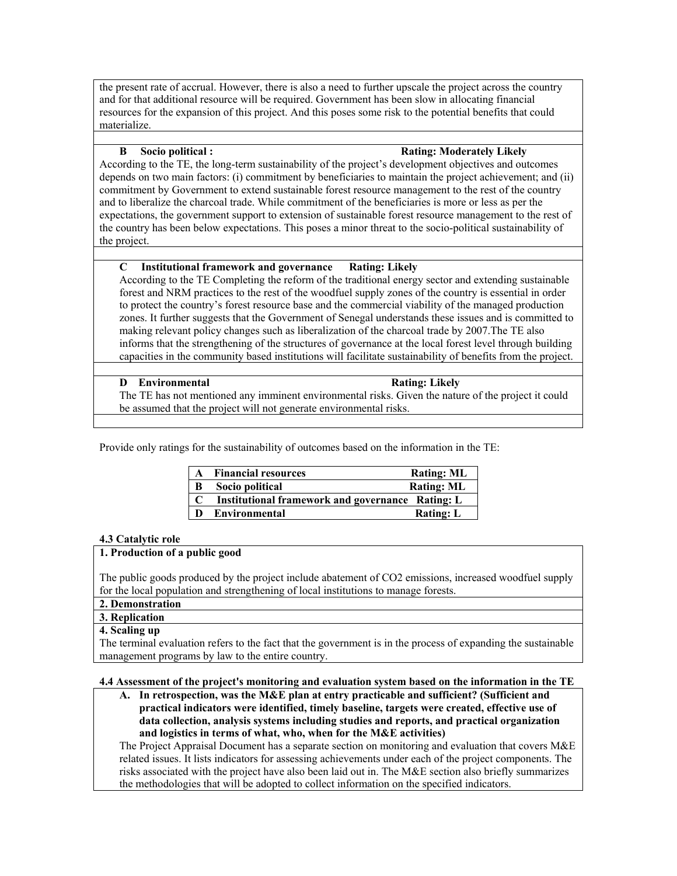the present rate of accrual. However, there is also a need to further upscale the project across the country and for that additional resource will be required. Government has been slow in allocating financial resources for the expansion of this project. And this poses some risk to the potential benefits that could materialize.

#### **B Socio political : Rating: Moderately Likely**

According to the TE, the long-term sustainability of the project's development objectives and outcomes depends on two main factors: (i) commitment by beneficiaries to maintain the project achievement; and (ii) commitment by Government to extend sustainable forest resource management to the rest of the country and to liberalize the charcoal trade. While commitment of the beneficiaries is more or less as per the expectations, the government support to extension of sustainable forest resource management to the rest of the country has been below expectations. This poses a minor threat to the socio-political sustainability of the project.

## **C Institutional framework and governance Rating: Likely**

According to the TE Completing the reform of the traditional energy sector and extending sustainable forest and NRM practices to the rest of the woodfuel supply zones of the country is essential in order to protect the country's forest resource base and the commercial viability of the managed production zones. It further suggests that the Government of Senegal understands these issues and is committed to making relevant policy changes such as liberalization of the charcoal trade by 2007.The TE also informs that the strengthening of the structures of governance at the local forest level through building capacities in the community based institutions will facilitate sustainability of benefits from the project.

#### **D** Environmental Rating: Likely

The TE has not mentioned any imminent environmental risks. Given the nature of the project it could be assumed that the project will not generate environmental risks.

Provide only ratings for the sustainability of outcomes based on the information in the TE:

| $\mathbf{A}$ | <b>Financial resources</b>                       | <b>Rating: ML</b> |
|--------------|--------------------------------------------------|-------------------|
| B            | Socio political                                  | <b>Rating: ML</b> |
|              | Institutional framework and governance Rating: L |                   |
| $\mathbf{D}$ | Environmental                                    | <b>Rating: L</b>  |

#### **4.3 Catalytic role**

#### **1. Production of a public good**

The public goods produced by the project include abatement of CO2 emissions, increased woodfuel supply for the local population and strengthening of local institutions to manage forests.

**2. Demonstration** 

# **3. Replication**

## **4. Scaling up**

The terminal evaluation refers to the fact that the government is in the process of expanding the sustainable management programs by law to the entire country.

#### **4.4 Assessment of the project's monitoring and evaluation system based on the information in the TE**

**A. In retrospection, was the M&E plan at entry practicable and sufficient? (Sufficient and practical indicators were identified, timely baseline, targets were created, effective use of data collection, analysis systems including studies and reports, and practical organization and logistics in terms of what, who, when for the M&E activities)** 

The Project Appraisal Document has a separate section on monitoring and evaluation that covers M&E related issues. It lists indicators for assessing achievements under each of the project components. The risks associated with the project have also been laid out in. The M&E section also briefly summarizes the methodologies that will be adopted to collect information on the specified indicators.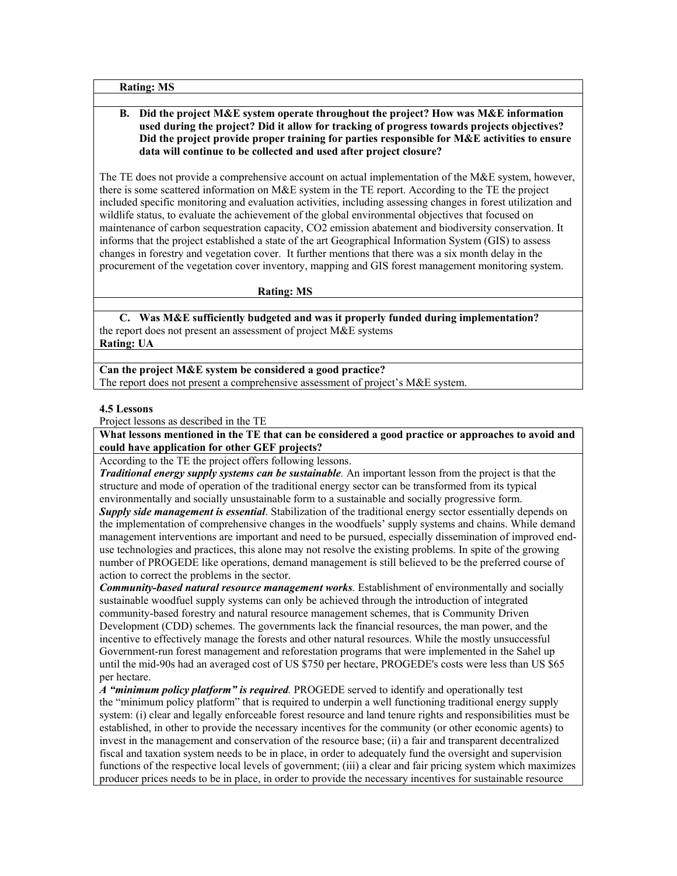**Rating: MS**

### **B. Did the project M&E system operate throughout the project? How was M&E information used during the project? Did it allow for tracking of progress towards projects objectives? Did the project provide proper training for parties responsible for M&E activities to ensure data will continue to be collected and used after project closure?**

The TE does not provide a comprehensive account on actual implementation of the M&E system, however, there is some scattered information on M&E system in the TE report. According to the TE the project included specific monitoring and evaluation activities, including assessing changes in forest utilization and wildlife status, to evaluate the achievement of the global environmental objectives that focused on maintenance of carbon sequestration capacity, CO2 emission abatement and biodiversity conservation. It informs that the project established a state of the art Geographical Information System (GIS) to assess changes in forestry and vegetation cover. It further mentions that there was a six month delay in the procurement of the vegetation cover inventory, mapping and GIS forest management monitoring system.

#### **Rating: MS**

**C. Was M&E sufficiently budgeted and was it properly funded during implementation?** the report does not present an assessment of project M&E systems **Rating: UA**

**Can the project M&E system be considered a good practice?** The report does not present a comprehensive assessment of project's M&E system.

#### **4.5 Lessons**

Project lessons as described in the TE

**What lessons mentioned in the TE that can be considered a good practice or approaches to avoid and could have application for other GEF projects?**

According to the TE the project offers following lessons.

*Traditional energy supply systems can be sustainable.* An important lesson from the project is that the structure and mode of operation of the traditional energy sector can be transformed from its typical environmentally and socially unsustainable form to a sustainable and socially progressive form. *Supply side management is essential*. Stabilization of the traditional energy sector essentially depends on the implementation of comprehensive changes in the woodfuels' supply systems and chains. While demand management interventions are important and need to be pursued, especially dissemination of improved enduse technologies and practices, this alone may not resolve the existing problems. In spite of the growing number of PROGEDE like operations, demand management is still believed to be the preferred course of action to correct the problems in the sector.

*Community-based natural resource management works.* Establishment of environmentally and socially sustainable woodfuel supply systems can only be achieved through the introduction of integrated community-based forestry and natural resource management schemes, that is Community Driven Development (CDD) schemes. The governments lack the financial resources, the man power, and the incentive to effectively manage the forests and other natural resources. While the mostly unsuccessful Government-run forest management and reforestation programs that were implemented in the Sahel up until the mid-90s had an averaged cost of US \$750 per hectare, PROGEDE's costs were less than US \$65 per hectare.

*A "minimum policy platform" is required.* PROGEDE served to identify and operationally test the "minimum policy platform" that is required to underpin a well functioning traditional energy supply system: (i) clear and legally enforceable forest resource and land tenure rights and responsibilities must be established, in other to provide the necessary incentives for the community (or other economic agents) to invest in the management and conservation of the resource base; (ii) a fair and transparent decentralized fiscal and taxation system needs to be in place, in order to adequately fund the oversight and supervision functions of the respective local levels of government; (iii) a clear and fair pricing system which maximizes producer prices needs to be in place, in order to provide the necessary incentives for sustainable resource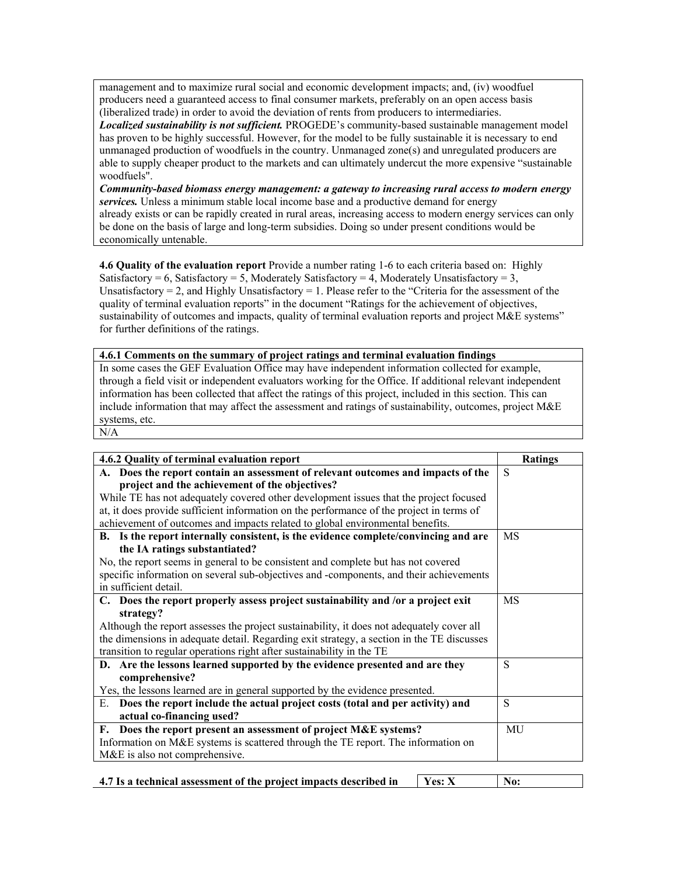management and to maximize rural social and economic development impacts; and, (iv) woodfuel producers need a guaranteed access to final consumer markets, preferably on an open access basis (liberalized trade) in order to avoid the deviation of rents from producers to intermediaries.

*Localized sustainability is not sufficient.* PROGEDE's community-based sustainable management model has proven to be highly successful. However, for the model to be fully sustainable it is necessary to end unmanaged production of woodfuels in the country. Unmanaged zone(s) and unregulated producers are able to supply cheaper product to the markets and can ultimately undercut the more expensive "sustainable woodfuels".

*Community-based biomass energy management: a gateway to increasing rural access to modern energy services.* Unless a minimum stable local income base and a productive demand for energy already exists or can be rapidly created in rural areas, increasing access to modern energy services can only be done on the basis of large and long-term subsidies. Doing so under present conditions would be economically untenable.

**4.6 Quality of the evaluation report** Provide a number rating 1-6 to each criteria based on: Highly Satisfactory = 6, Satisfactory = 5, Moderately Satisfactory = 4, Moderately Unsatisfactory = 3, Unsatisfactory  $= 2$ , and Highly Unsatisfactory  $= 1$ . Please refer to the "Criteria for the assessment of the quality of terminal evaluation reports" in the document "Ratings for the achievement of objectives, sustainability of outcomes and impacts, quality of terminal evaluation reports and project M&E systems" for further definitions of the ratings.

#### **4.6.1 Comments on the summary of project ratings and terminal evaluation findings**

In some cases the GEF Evaluation Office may have independent information collected for example, through a field visit or independent evaluators working for the Office. If additional relevant independent information has been collected that affect the ratings of this project, included in this section. This can include information that may affect the assessment and ratings of sustainability, outcomes, project M&E systems, etc.

N/A

| 4.6.2 Quality of terminal evaluation report                                               | <b>Ratings</b> |
|-------------------------------------------------------------------------------------------|----------------|
| A. Does the report contain an assessment of relevant outcomes and impacts of the          | S              |
| project and the achievement of the objectives?                                            |                |
| While TE has not adequately covered other development issues that the project focused     |                |
| at, it does provide sufficient information on the performance of the project in terms of  |                |
| achievement of outcomes and impacts related to global environmental benefits.             |                |
| B. Is the report internally consistent, is the evidence complete/convincing and are       | MS             |
| the IA ratings substantiated?                                                             |                |
| No, the report seems in general to be consistent and complete but has not covered         |                |
| specific information on several sub-objectives and -components, and their achievements    |                |
| in sufficient detail.                                                                     |                |
| C. Does the report properly assess project sustainability and /or a project exit          | MS             |
| strategy?                                                                                 |                |
| Although the report assesses the project sustainability, it does not adequately cover all |                |
| the dimensions in adequate detail. Regarding exit strategy, a section in the TE discusses |                |
| transition to regular operations right after sustainability in the TE                     |                |
| D. Are the lessons learned supported by the evidence presented and are they               | S              |
| comprehensive?                                                                            |                |
| Yes, the lessons learned are in general supported by the evidence presented.              |                |
| Does the report include the actual project costs (total and per activity) and<br>E.       | S              |
| actual co-financing used?                                                                 |                |
| F. Does the report present an assessment of project M&E systems?                          | MU             |
| Information on M&E systems is scattered through the TE report. The information on         |                |
| M&E is also not comprehensive.                                                            |                |
|                                                                                           |                |
| Yes: X<br>4.7 Is a technical assessment of the project impacts described in               | No:            |